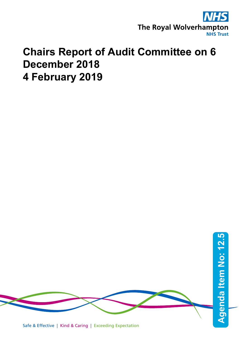

## **Chairs Report of Audit Committee on 6 December 2018 4 February 2019**

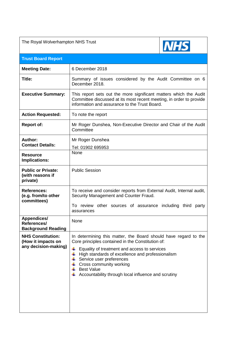| The Royal Wolverhampton NHS Trust                                      |                                                                                                                                                                                                                                                                                                                                                                       |
|------------------------------------------------------------------------|-----------------------------------------------------------------------------------------------------------------------------------------------------------------------------------------------------------------------------------------------------------------------------------------------------------------------------------------------------------------------|
| <b>Trust Board Report</b>                                              |                                                                                                                                                                                                                                                                                                                                                                       |
| <b>Meeting Date:</b>                                                   | 6 December 2018                                                                                                                                                                                                                                                                                                                                                       |
| Title:                                                                 | Summary of issues considered by the Audit Committee on 6<br>December 2018.                                                                                                                                                                                                                                                                                            |
| <b>Executive Summary:</b>                                              | This report sets out the more significant matters which the Audit<br>Committee discussed at its most recent meeting, in order to provide<br>information and assurance to the Trust Board.                                                                                                                                                                             |
| <b>Action Requested:</b>                                               | To note the report                                                                                                                                                                                                                                                                                                                                                    |
| <b>Report of:</b>                                                      | Mr Roger Dunshea, Non-Executive Director and Chair of the Audit<br>Committee                                                                                                                                                                                                                                                                                          |
| Author:<br><b>Contact Details:</b>                                     | Mr Roger Dunshea<br>Tel: 01902 695953                                                                                                                                                                                                                                                                                                                                 |
| <b>Resource</b><br>Implications:                                       | None                                                                                                                                                                                                                                                                                                                                                                  |
| <b>Public or Private:</b><br>(with reasons if<br>private)              | <b>Public Session</b>                                                                                                                                                                                                                                                                                                                                                 |
| <b>References:</b><br>(e.g. from/to other<br>committees)               | To receive and consider reports from External Audit, Internal audit,<br>Security Management and Counter Fraud.<br>To review other sources of assurance including third<br>party                                                                                                                                                                                       |
| <b>Appendices/</b>                                                     | assurances<br>None                                                                                                                                                                                                                                                                                                                                                    |
| References/<br><b>Background Reading</b>                               |                                                                                                                                                                                                                                                                                                                                                                       |
| <b>NHS Constitution:</b><br>(How it impacts on<br>any decision-making) | In determining this matter, the Board should have regard to the<br>Core principles contained in the Constitution of:<br>Equality of treatment and access to services<br>÷<br>High standards of excellence and professionalism<br>₩<br>Service user preferences<br>Cross community working<br><b>Best Value</b><br>Accountability through local influence and scrutiny |
|                                                                        |                                                                                                                                                                                                                                                                                                                                                                       |